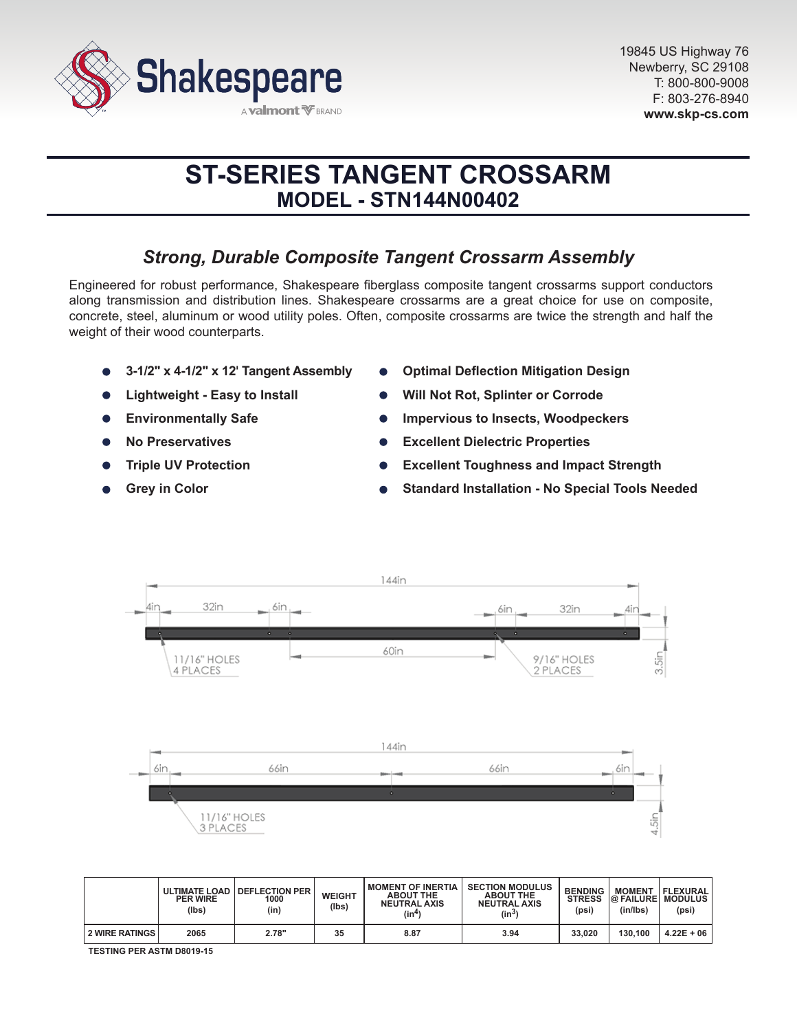

# **ST-SERIES TANGENT CROSSARM MODEL - STN144N00402**

# *Strong, Durable Composite Tangent Crossarm Assembly*

Engineered for robust performance, Shakespeare fiberglass composite tangent crossarms support conductors along transmission and distribution lines. Shakespeare crossarms are a great choice for use on composite, concrete, steel, aluminum or wood utility poles. Often, composite crossarms are twice the strength and half the weight of their wood counterparts.

- **3-1/2" x 4-1/2" x 12' Tangent Assembly**
- **Lightweight Easy to Install**
- **Environmentally Safe**  $\bullet$
- **No Preservatives**
- **Triple UV Protection**
- **Grey in Color**
- **Optimal Deflection Mitigation Design**
- **Will Not Rot, Splinter or Corrode**
- **Impervious to Insects, Woodpeckers**
- **Excellent Dielectric Properties**  $\bullet$
- **Excellent Toughness and Impact Strength**
- **Standard Installation No Special Tools Needed**



|                       | <b>PER WIRE</b><br>(lbs) | ULTIMATE LOAD   DEFLECTION PER<br>1000<br>(in) | <b>WEIGHT</b><br>(lbs) | <b>MOMENT OF INERTIA</b><br><b>ABOUT THE</b><br><b>NEUTRAL AXIS</b><br>(in4) | <b>SECTION MODULUS</b><br><b>ABOUT THE</b><br><b>NEUTRAL AXIS</b><br>$(in^3)$ | <b>BENDING</b><br><b>STRESS</b><br>(psi) | <b>MOMENT</b><br><b>@ FAILURE MODULUS</b><br>(in/lbs) | FLEXURAL <br>(psi) |
|-----------------------|--------------------------|------------------------------------------------|------------------------|------------------------------------------------------------------------------|-------------------------------------------------------------------------------|------------------------------------------|-------------------------------------------------------|--------------------|
| <b>2 WIRE RATINGS</b> | 2065                     | 2.78"                                          | 35                     | 8.87                                                                         | 3.94                                                                          | 33,020                                   | 130.100                                               | $4.22E + 06$       |

**TESTING PER ASTM D8019-15**